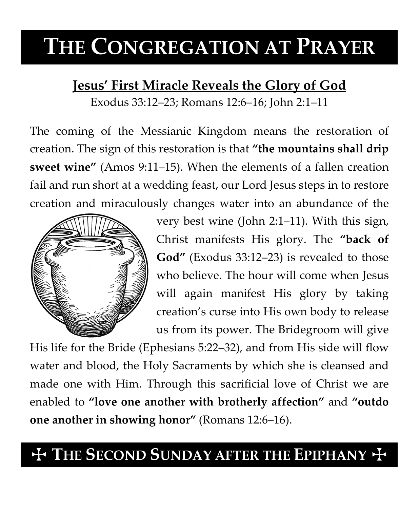# **THE CONGREGATION AT PRAYER**

### **Jesus' First Miracle Reveals the Glory of God**

Exodus 33:12–23; Romans 12:6–16; John 2:1–11

The coming of the Messianic Kingdom means the restoration of creation. The sign of this restoration is that **"the mountains shall drip sweet wine"** (Amos 9:11–15). When the elements of a fallen creation fail and run short at a wedding feast, our Lord Jesus steps in to restore creation and miraculously changes water into an abundance of the



very best wine (John 2:1–11). With this sign, Christ manifests His glory. The **"back of God"** (Exodus 33:12–23) is revealed to those who believe. The hour will come when Jesus will again manifest His glory by taking creation's curse into His own body to release us from its power. The Bridegroom will give

His life for the Bride (Ephesians 5:22–32), and from His side will flow water and blood, the Holy Sacraments by which she is cleansed and made one with Him. Through this sacrificial love of Christ we are enabled to **"love one another with brotherly affection"** and **"outdo one another in showing honor"** (Romans 12:6–16).

## $+$  THE SECOND SUNDAY AFTER THE EPIPHANY  $+$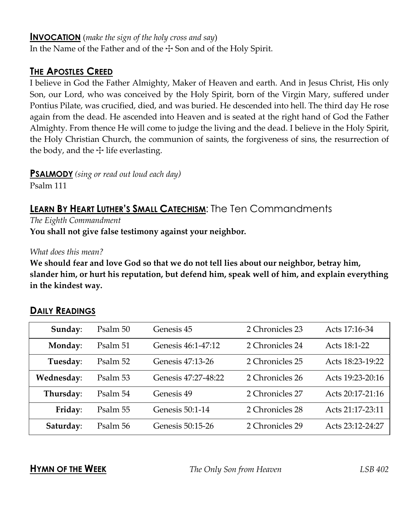#### **INVOCATION** (*make the sign of the holy cross and say*)

In the Name of the Father and of the  $\pm$  Son and of the Holy Spirit.

#### **THE APOSTLES CREED**

I believe in God the Father Almighty, Maker of Heaven and earth. And in Jesus Christ, His only Son, our Lord, who was conceived by the Holy Spirit, born of the Virgin Mary, suffered under Pontius Pilate, was crucified, died, and was buried. He descended into hell. The third day He rose again from the dead. He ascended into Heaven and is seated at the right hand of God the Father Almighty. From thence He will come to judge the living and the dead. I believe in the Holy Spirit, the Holy Christian Church, the communion of saints, the forgiveness of sins, the resurrection of the body, and the  $\pm$  life everlasting.

**PSALMODY** *(sing or read out loud each day)*

Psalm 111

### **LEARN BY HEART LUTHER'S SMALL CATECHISM:** The Ten Commandments

*The Eighth Commandment*

**You shall not give false testimony against your neighbor.**

*What does this mean?*

**We should fear and love God so that we do not tell lies about our neighbor, betray him, slander him, or hurt his reputation, but defend him, speak well of him, and explain everything in the kindest way.**

| Sunday:    | Psalm 50 | Genesis 45          | 2 Chronicles 23 | Acts 17:16-34    |
|------------|----------|---------------------|-----------------|------------------|
| Monday:    | Psalm 51 | Genesis 46:1-47:12  | 2 Chronicles 24 | Acts 18:1-22     |
| Tuesday:   | Psalm 52 | Genesis 47:13-26    | 2 Chronicles 25 | Acts 18:23-19:22 |
| Wednesday: | Psalm 53 | Genesis 47:27-48:22 | 2 Chronicles 26 | Acts 19:23-20:16 |
| Thursday:  | Psalm 54 | Genesis 49          | 2 Chronicles 27 | Acts 20:17-21:16 |
| Friday:    | Psalm 55 | Genesis 50:1-14     | 2 Chronicles 28 | Acts 21:17-23:11 |
| Saturday:  | Psalm 56 | Genesis 50:15-26    | 2 Chronicles 29 | Acts 23:12-24:27 |

#### **DAILY READINGS**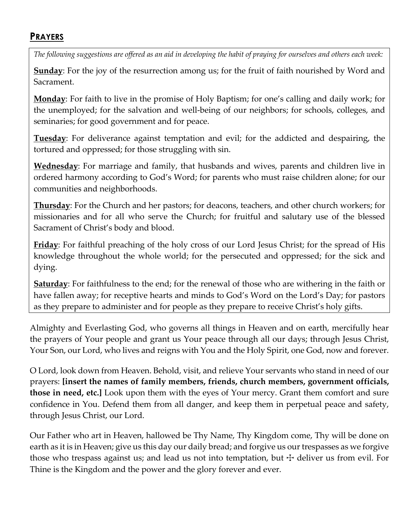#### **PRAYERS**

*The following suggestions are offered as an aid in developing the habit of praying for ourselves and others each week:*

**Sunday**: For the joy of the resurrection among us; for the fruit of faith nourished by Word and Sacrament.

**Monday**: For faith to live in the promise of Holy Baptism; for one's calling and daily work; for the unemployed; for the salvation and well-being of our neighbors; for schools, colleges, and seminaries; for good government and for peace.

**Tuesday**: For deliverance against temptation and evil; for the addicted and despairing, the tortured and oppressed; for those struggling with sin.

**Wednesday**: For marriage and family, that husbands and wives, parents and children live in ordered harmony according to God's Word; for parents who must raise children alone; for our communities and neighborhoods.

**Thursday**: For the Church and her pastors; for deacons, teachers, and other church workers; for missionaries and for all who serve the Church; for fruitful and salutary use of the blessed Sacrament of Christ's body and blood.

**Friday**: For faithful preaching of the holy cross of our Lord Jesus Christ; for the spread of His knowledge throughout the whole world; for the persecuted and oppressed; for the sick and dying.

**Saturday**: For faithfulness to the end; for the renewal of those who are withering in the faith or have fallen away; for receptive hearts and minds to God's Word on the Lord's Day; for pastors as they prepare to administer and for people as they prepare to receive Christ's holy gifts.

Almighty and Everlasting God, who governs all things in Heaven and on earth, mercifully hear the prayers of Your people and grant us Your peace through all our days; through Jesus Christ, Your Son, our Lord, who lives and reigns with You and the Holy Spirit, one God, now and forever.

O Lord, look down from Heaven. Behold, visit, and relieve Your servants who stand in need of our prayers: **[insert the names of family members, friends, church members, government officials, those in need, etc.]** Look upon them with the eyes of Your mercy. Grant them comfort and sure confidence in You. Defend them from all danger, and keep them in perpetual peace and safety, through Jesus Christ, our Lord.

Our Father who art in Heaven, hallowed be Thy Name, Thy Kingdom come, Thy will be done on earth as it is in Heaven; give us this day our daily bread; and forgive us our trespasses as we forgive those who trespass against us; and lead us not into temptation, but  $\pm$  deliver us from evil. For Thine is the Kingdom and the power and the glory forever and ever.